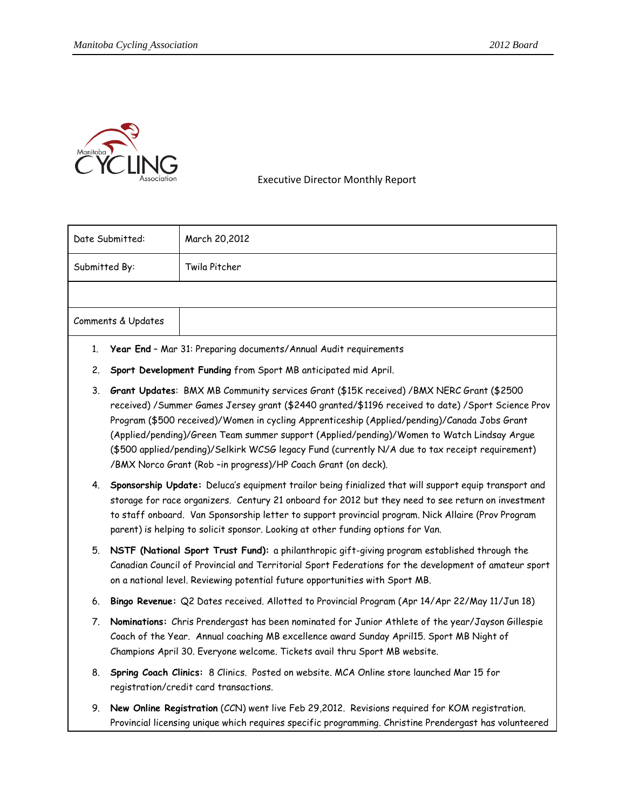

Executive Director Monthly Report

|               | Date Submitted:    | March 20,2012                                                                                                                                                                                                                                                                                                                                                                                                                                                                                                                                                     |
|---------------|--------------------|-------------------------------------------------------------------------------------------------------------------------------------------------------------------------------------------------------------------------------------------------------------------------------------------------------------------------------------------------------------------------------------------------------------------------------------------------------------------------------------------------------------------------------------------------------------------|
| Submitted By: |                    | Twila Pitcher                                                                                                                                                                                                                                                                                                                                                                                                                                                                                                                                                     |
|               |                    |                                                                                                                                                                                                                                                                                                                                                                                                                                                                                                                                                                   |
|               | Comments & Updates |                                                                                                                                                                                                                                                                                                                                                                                                                                                                                                                                                                   |
| 1.            |                    | Year End - Mar 31: Preparing documents/Annual Audit requirements                                                                                                                                                                                                                                                                                                                                                                                                                                                                                                  |
| 2.            |                    | Sport Development Funding from Sport MB anticipated mid April.                                                                                                                                                                                                                                                                                                                                                                                                                                                                                                    |
| 3.            |                    | Grant Updates: BMX MB Community services Grant (\$15K received) / BMX NERC Grant (\$2500<br>received) / Summer Games Jersey grant (\$2440 granted/\$1196 received to date) / Sport Science Prov<br>Program (\$500 received)/Women in cycling Apprenticeship (Applied/pending)/Canada Jobs Grant<br>(Applied/pending)/Green Team summer support (Applied/pending)/Women to Watch Lindsay Argue<br>(\$500 applied/pending)/Selkirk WCSG legacy Fund (currently N/A due to tax receipt requirement)<br>/BMX Norco Grant (Rob -in progress)/HP Coach Grant (on deck). |
| 4.            |                    | Sponsorship Update: Deluca's equipment trailor being finialized that will support equip transport and<br>storage for race organizers. Century 21 onboard for 2012 but they need to see return on investment<br>to staff onboard. Van Sponsorship letter to support provincial program. Nick Allaire (Prov Program<br>parent) is helping to solicit sponsor. Looking at other funding options for Van.                                                                                                                                                             |
| 5.            |                    | NSTF (National Sport Trust Fund): a philanthropic gift-giving program established through the<br>Canadian Council of Provincial and Territorial Sport Federations for the development of amateur sport<br>on a national level. Reviewing potential future opportunities with Sport MB.                                                                                                                                                                                                                                                                            |
| 6.            |                    | Bingo Revenue: Q2 Dates received. Allotted to Provincial Program (Apr 14/Apr 22/May 11/Jun 18)                                                                                                                                                                                                                                                                                                                                                                                                                                                                    |
| 7.            |                    | Nominations: Chris Prendergast has been nominated for Junior Athlete of the year/Jayson Gillespie<br>Coach of the Year. Annual coaching MB excellence award Sunday April15. Sport MB Night of<br>Champions April 30. Everyone welcome. Tickets avail thru Sport MB website.                                                                                                                                                                                                                                                                                       |
| 8.            |                    | Spring Coach Clinics: 8 Clinics. Posted on website. MCA Online store launched Mar 15 for<br>registration/credit card transactions.                                                                                                                                                                                                                                                                                                                                                                                                                                |
| 9.            |                    | New Online Registration (CCN) went live Feb 29,2012. Revisions required for KOM registration.<br>Provincial licensing unique which requires specific programming. Christine Prendergast has volunteered                                                                                                                                                                                                                                                                                                                                                           |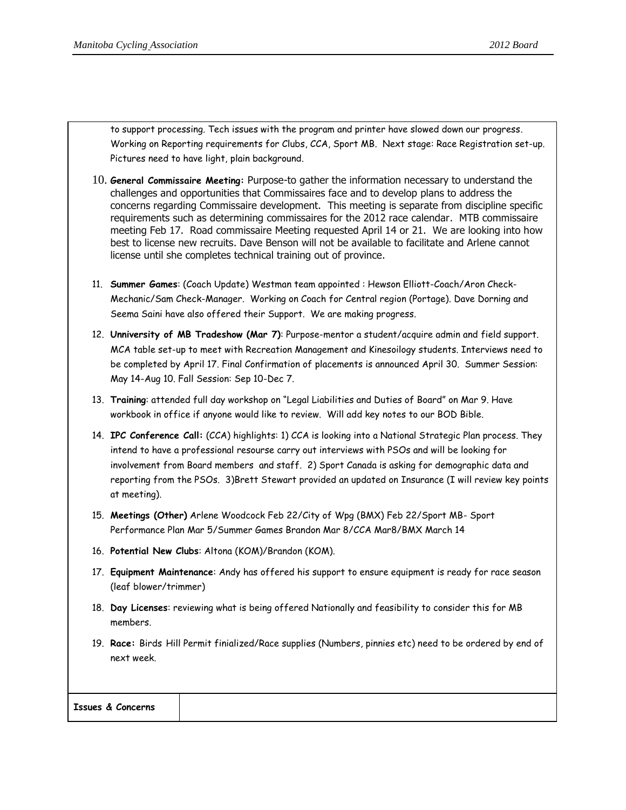to support processing. Tech issues with the program and printer have slowed down our progress. Working on Reporting requirements for Clubs, CCA, Sport MB. Next stage: Race Registration set-up. Pictures need to have light, plain background.

- 10. **General Commissaire Meeting:** Purpose-to gather the information necessary to understand the challenges and opportunities that Commissaires face and to develop plans to address the concerns regarding Commissaire development. This meeting is separate from discipline specific requirements such as determining commissaires for the 2012 race calendar. MTB commissaire meeting Feb 17. Road commissaire Meeting requested April 14 or 21. We are looking into how best to license new recruits. Dave Benson will not be available to facilitate and Arlene cannot license until she completes technical training out of province.
- 11. **Summer Games**: (Coach Update) Westman team appointed : Hewson Elliott-Coach/Aron Check-Mechanic/Sam Check-Manager. Working on Coach for Central region (Portage). Dave Dorning and Seema Saini have also offered their Support. We are making progress.
- 12. **Unniversity of MB Tradeshow (Mar 7)**: Purpose-mentor a student/acquire admin and field support. MCA table set-up to meet with Recreation Management and Kinesoilogy students. Interviews need to be completed by April 17. Final Confirmation of placements is announced April 30. Summer Session: May 14-Aug 10. Fall Session: Sep 10-Dec 7.
- 13. **Training**: attended full day workshop on "Legal Liabilities and Duties of Board" on Mar 9. Have workbook in office if anyone would like to review. Will add key notes to our BOD Bible.
- 14. **IPC Conference Call:** (CCA) highlights: 1) CCA is looking into a National Strategic Plan process. They intend to have a professional resourse carry out interviews with PSOs and will be looking for involvement from Board members and staff. 2) Sport Canada is asking for demographic data and reporting from the PSOs. 3)Brett Stewart provided an updated on Insurance (I will review key points at meeting).
- 15. **Meetings (Other)** Arlene Woodcock Feb 22/City of Wpg (BMX) Feb 22/Sport MB- Sport Performance Plan Mar 5/Summer Games Brandon Mar 8/CCA Mar8/BMX March 14
- 16. **Potential New Clubs**: Altona (KOM)/Brandon (KOM).
- 17. **Equipment Maintenance**: Andy has offered his support to ensure equipment is ready for race season (leaf blower/trimmer)
- 18. **Day Licenses**: reviewing what is being offered Nationally and feasibility to consider this for MB members.
- 19. **Race:** Birds Hill Permit finialized/Race supplies (Numbers, pinnies etc) need to be ordered by end of next week.

| <b>Issues &amp; Concerns</b> |
|------------------------------|
|------------------------------|